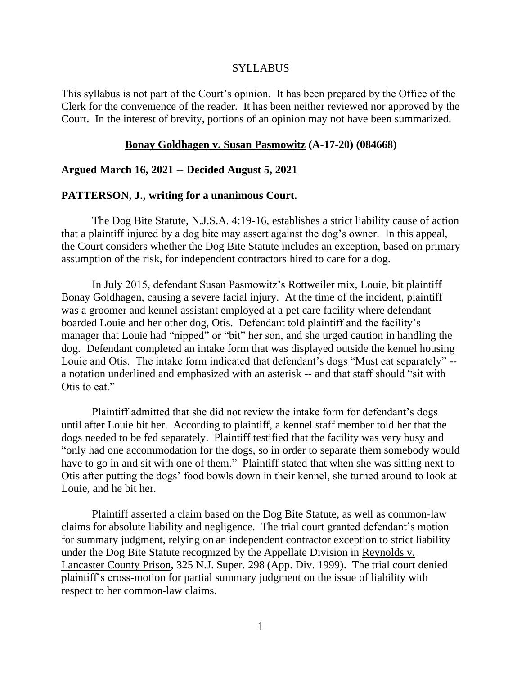#### **SYLLABUS**

This syllabus is not part of the Court's opinion. It has been prepared by the Office of the Clerk for the convenience of the reader. It has been neither reviewed nor approved by the Court. In the interest of brevity, portions of an opinion may not have been summarized.

#### **Bonay Goldhagen v. Susan Pasmowitz (A-17-20) (084668)**

#### **Argued March 16, 2021 -- Decided August 5, 2021**

#### **PATTERSON, J., writing for a unanimous Court.**

The Dog Bite Statute, N.J.S.A. 4:19-16, establishes a strict liability cause of action that a plaintiff injured by a dog bite may assert against the dog's owner. In this appeal, the Court considers whether the Dog Bite Statute includes an exception, based on primary assumption of the risk, for independent contractors hired to care for a dog.

In July 2015, defendant Susan Pasmowitz's Rottweiler mix, Louie, bit plaintiff Bonay Goldhagen, causing a severe facial injury. At the time of the incident, plaintiff was a groomer and kennel assistant employed at a pet care facility where defendant boarded Louie and her other dog, Otis. Defendant told plaintiff and the facility's manager that Louie had "nipped" or "bit" her son, and she urged caution in handling the dog. Defendant completed an intake form that was displayed outside the kennel housing Louie and Otis. The intake form indicated that defendant's dogs "Must eat separately" - a notation underlined and emphasized with an asterisk -- and that staff should "sit with Otis to eat."

Plaintiff admitted that she did not review the intake form for defendant's dogs until after Louie bit her. According to plaintiff, a kennel staff member told her that the dogs needed to be fed separately. Plaintiff testified that the facility was very busy and "only had one accommodation for the dogs, so in order to separate them somebody would have to go in and sit with one of them." Plaintiff stated that when she was sitting next to Otis after putting the dogs' food bowls down in their kennel, she turned around to look at Louie, and he bit her.

Plaintiff asserted a claim based on the Dog Bite Statute, as well as common-law claims for absolute liability and negligence. The trial court granted defendant's motion for summary judgment, relying on an independent contractor exception to strict liability under the Dog Bite Statute recognized by the Appellate Division in Reynolds v. Lancaster County Prison, 325 N.J. Super. 298 (App. Div. 1999). The trial court denied plaintiff's cross-motion for partial summary judgment on the issue of liability with respect to her common-law claims.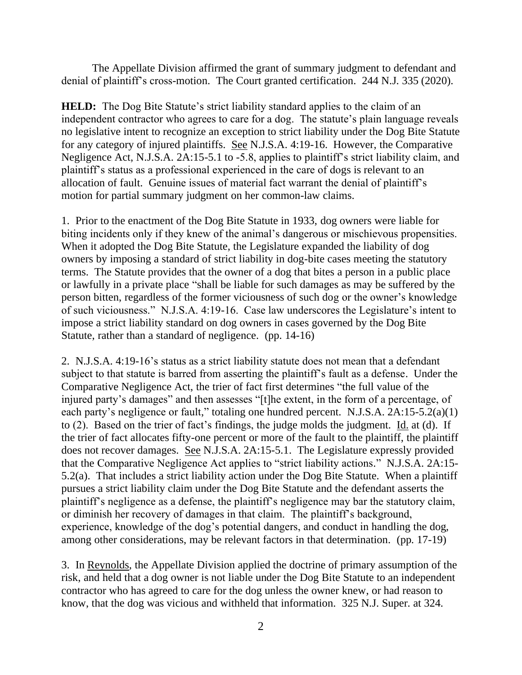The Appellate Division affirmed the grant of summary judgment to defendant and denial of plaintiff's cross-motion. The Court granted certification. 244 N.J. 335 (2020).

**HELD:** The Dog Bite Statute's strict liability standard applies to the claim of an independent contractor who agrees to care for a dog. The statute's plain language reveals no legislative intent to recognize an exception to strict liability under the Dog Bite Statute for any category of injured plaintiffs. See N.J.S.A. 4:19-16. However, the Comparative Negligence Act, N.J.S.A. 2A:15-5.1 to -5.8, applies to plaintiff's strict liability claim, and plaintiff's status as a professional experienced in the care of dogs is relevant to an allocation of fault. Genuine issues of material fact warrant the denial of plaintiff's motion for partial summary judgment on her common-law claims.

1. Prior to the enactment of the Dog Bite Statute in 1933, dog owners were liable for biting incidents only if they knew of the animal's dangerous or mischievous propensities. When it adopted the Dog Bite Statute, the Legislature expanded the liability of dog owners by imposing a standard of strict liability in dog-bite cases meeting the statutory terms. The Statute provides that the owner of a dog that bites a person in a public place or lawfully in a private place "shall be liable for such damages as may be suffered by the person bitten, regardless of the former viciousness of such dog or the owner's knowledge of such viciousness." N.J.S.A. 4:19-16. Case law underscores the Legislature's intent to impose a strict liability standard on dog owners in cases governed by the Dog Bite Statute, rather than a standard of negligence. (pp. 14-16)

2. N.J.S.A. 4:19-16's status as a strict liability statute does not mean that a defendant subject to that statute is barred from asserting the plaintiff's fault as a defense. Under the Comparative Negligence Act, the trier of fact first determines "the full value of the injured party's damages" and then assesses "[t]he extent, in the form of a percentage, of each party's negligence or fault," totaling one hundred percent. N.J.S.A. 2A:15-5.2(a)(1) to (2). Based on the trier of fact's findings, the judge molds the judgment. Id. at (d). If the trier of fact allocates fifty-one percent or more of the fault to the plaintiff, the plaintiff does not recover damages. See N.J.S.A. 2A:15-5.1. The Legislature expressly provided that the Comparative Negligence Act applies to "strict liability actions." N.J.S.A. 2A:15- 5.2(a). That includes a strict liability action under the Dog Bite Statute. When a plaintiff pursues a strict liability claim under the Dog Bite Statute and the defendant asserts the plaintiff's negligence as a defense, the plaintiff's negligence may bar the statutory claim, or diminish her recovery of damages in that claim. The plaintiff's background, experience, knowledge of the dog's potential dangers, and conduct in handling the dog, among other considerations, may be relevant factors in that determination. (pp. 17-19)

3. In Reynolds, the Appellate Division applied the doctrine of primary assumption of the risk, and held that a dog owner is not liable under the Dog Bite Statute to an independent contractor who has agreed to care for the dog unless the owner knew, or had reason to know, that the dog was vicious and withheld that information. 325 N.J. Super. at 324.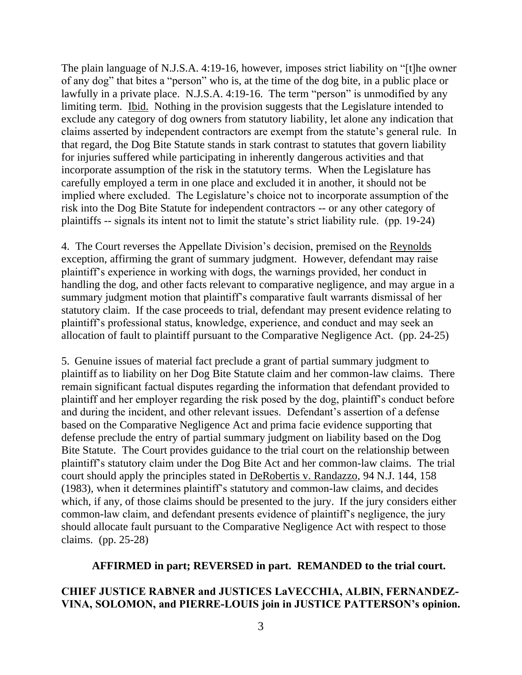The plain language of N.J.S.A. 4:19-16, however, imposes strict liability on "[t]he owner of any dog" that bites a "person" who is, at the time of the dog bite, in a public place or lawfully in a private place. N.J.S.A. 4:19-16. The term "person" is unmodified by any limiting term. Ibid. Nothing in the provision suggests that the Legislature intended to exclude any category of dog owners from statutory liability, let alone any indication that claims asserted by independent contractors are exempt from the statute's general rule. In that regard, the Dog Bite Statute stands in stark contrast to statutes that govern liability for injuries suffered while participating in inherently dangerous activities and that incorporate assumption of the risk in the statutory terms. When the Legislature has carefully employed a term in one place and excluded it in another, it should not be implied where excluded. The Legislature's choice not to incorporate assumption of the risk into the Dog Bite Statute for independent contractors -- or any other category of plaintiffs -- signals its intent not to limit the statute's strict liability rule. (pp. 19-24)

4. The Court reverses the Appellate Division's decision, premised on the Reynolds exception, affirming the grant of summary judgment. However, defendant may raise plaintiff's experience in working with dogs, the warnings provided, her conduct in handling the dog, and other facts relevant to comparative negligence, and may argue in a summary judgment motion that plaintiff's comparative fault warrants dismissal of her statutory claim. If the case proceeds to trial, defendant may present evidence relating to plaintiff's professional status, knowledge, experience, and conduct and may seek an allocation of fault to plaintiff pursuant to the Comparative Negligence Act. (pp. 24-25)

5. Genuine issues of material fact preclude a grant of partial summary judgment to plaintiff as to liability on her Dog Bite Statute claim and her common-law claims. There remain significant factual disputes regarding the information that defendant provided to plaintiff and her employer regarding the risk posed by the dog, plaintiff's conduct before and during the incident, and other relevant issues. Defendant's assertion of a defense based on the Comparative Negligence Act and prima facie evidence supporting that defense preclude the entry of partial summary judgment on liability based on the Dog Bite Statute. The Court provides guidance to the trial court on the relationship between plaintiff's statutory claim under the Dog Bite Act and her common-law claims. The trial court should apply the principles stated in DeRobertis v. Randazzo, 94 N.J. 144, 158 (1983), when it determines plaintiff's statutory and common-law claims, and decides which, if any, of those claims should be presented to the jury. If the jury considers either common-law claim, and defendant presents evidence of plaintiff's negligence, the jury should allocate fault pursuant to the Comparative Negligence Act with respect to those claims. (pp. 25-28)

#### **AFFIRMED in part; REVERSED in part. REMANDED to the trial court.**

# **CHIEF JUSTICE RABNER and JUSTICES LaVECCHIA, ALBIN, FERNANDEZ-VINA, SOLOMON, and PIERRE-LOUIS join in JUSTICE PATTERSON's opinion.**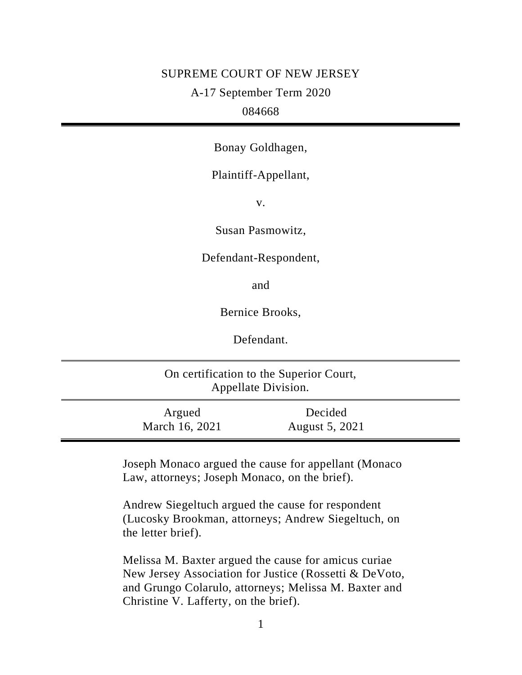# SUPREME COURT OF NEW JERSEY A-17 September Term 2020 084668

Bonay Goldhagen,

# Plaintiff-Appellant,

v.

Susan Pasmowitz,

Defendant-Respondent,

and

Bernice Brooks,

Defendant.

| On certification to the Superior Court,<br>Appellate Division. |                          |                           |  |
|----------------------------------------------------------------|--------------------------|---------------------------|--|
|                                                                | Argued<br>March 16, 2021 | Decided<br>August 5, 2021 |  |

Joseph Monaco argued the cause for appellant (Monaco Law, attorneys; Joseph Monaco, on the brief).

Andrew Siegeltuch argued the cause for respondent (Lucosky Brookman, attorneys; Andrew Siegeltuch, on the letter brief).

Melissa M. Baxter argued the cause for amicus curiae New Jersey Association for Justice (Rossetti & DeVoto, and Grungo Colarulo, attorneys; Melissa M. Baxter and Christine V. Lafferty, on the brief).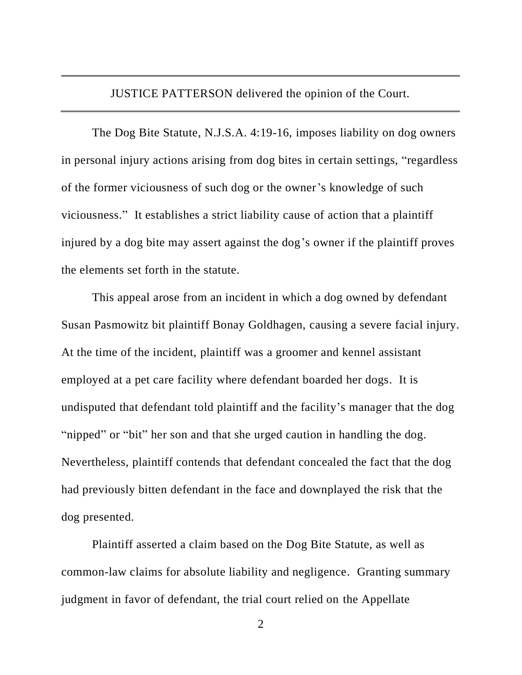JUSTICE PATTERSON delivered the opinion of the Court.

The Dog Bite Statute, N.J.S.A. 4:19-16, imposes liability on dog owners in personal injury actions arising from dog bites in certain settings, "regardless of the former viciousness of such dog or the owner's knowledge of such viciousness." It establishes a strict liability cause of action that a plaintiff injured by a dog bite may assert against the dog's owner if the plaintiff proves the elements set forth in the statute.

This appeal arose from an incident in which a dog owned by defendant Susan Pasmowitz bit plaintiff Bonay Goldhagen, causing a severe facial injury. At the time of the incident, plaintiff was a groomer and kennel assistant employed at a pet care facility where defendant boarded her dogs. It is undisputed that defendant told plaintiff and the facility's manager that the dog "nipped" or "bit" her son and that she urged caution in handling the dog. Nevertheless, plaintiff contends that defendant concealed the fact that the dog had previously bitten defendant in the face and downplayed the risk that the dog presented.

Plaintiff asserted a claim based on the Dog Bite Statute, as well as common-law claims for absolute liability and negligence. Granting summary judgment in favor of defendant, the trial court relied on the Appellate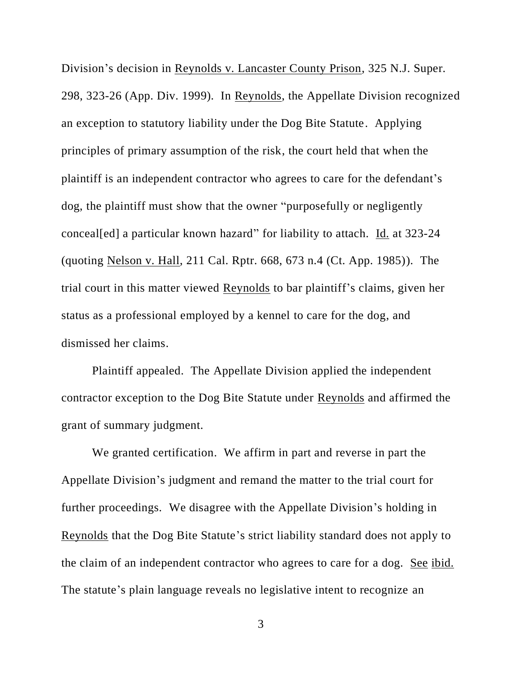Division's decision in Reynolds v. Lancaster County Prison, 325 N.J. Super. 298, 323-26 (App. Div. 1999). In Reynolds, the Appellate Division recognized an exception to statutory liability under the Dog Bite Statute. Applying principles of primary assumption of the risk, the court held that when the plaintiff is an independent contractor who agrees to care for the defendant's dog, the plaintiff must show that the owner "purposefully or negligently conceal[ed] a particular known hazard" for liability to attach. Id. at 323-24 (quoting Nelson v. Hall, 211 Cal. Rptr. 668, 673 n.4 (Ct. App. 1985)). The trial court in this matter viewed Reynolds to bar plaintiff's claims, given her status as a professional employed by a kennel to care for the dog, and dismissed her claims.

Plaintiff appealed. The Appellate Division applied the independent contractor exception to the Dog Bite Statute under Reynolds and affirmed the grant of summary judgment.

We granted certification. We affirm in part and reverse in part the Appellate Division's judgment and remand the matter to the trial court for further proceedings. We disagree with the Appellate Division's holding in Reynolds that the Dog Bite Statute's strict liability standard does not apply to the claim of an independent contractor who agrees to care for a dog. See ibid. The statute's plain language reveals no legislative intent to recognize an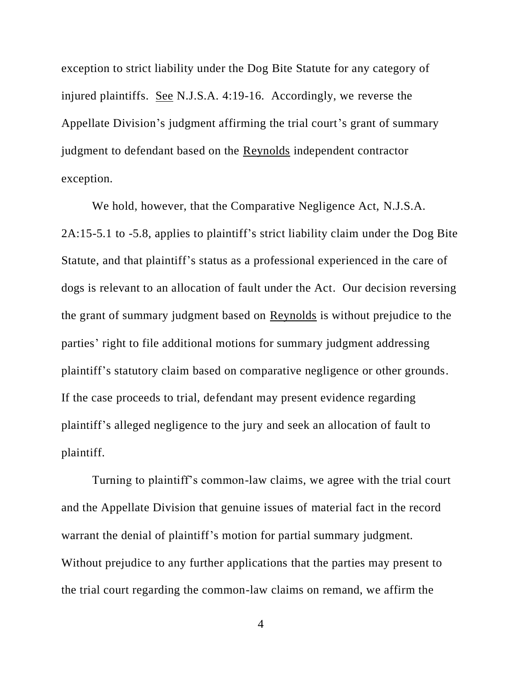exception to strict liability under the Dog Bite Statute for any category of injured plaintiffs. See N.J.S.A. 4:19-16. Accordingly, we reverse the Appellate Division's judgment affirming the trial court's grant of summary judgment to defendant based on the Reynolds independent contractor exception.

We hold, however, that the Comparative Negligence Act, N.J.S.A. 2A:15-5.1 to -5.8, applies to plaintiff's strict liability claim under the Dog Bite Statute, and that plaintiff's status as a professional experienced in the care of dogs is relevant to an allocation of fault under the Act. Our decision reversing the grant of summary judgment based on Reynolds is without prejudice to the parties' right to file additional motions for summary judgment addressing plaintiff's statutory claim based on comparative negligence or other grounds. If the case proceeds to trial, defendant may present evidence regarding plaintiff's alleged negligence to the jury and seek an allocation of fault to plaintiff.

Turning to plaintiff's common-law claims, we agree with the trial court and the Appellate Division that genuine issues of material fact in the record warrant the denial of plaintiff's motion for partial summary judgment. Without prejudice to any further applications that the parties may present to the trial court regarding the common-law claims on remand, we affirm the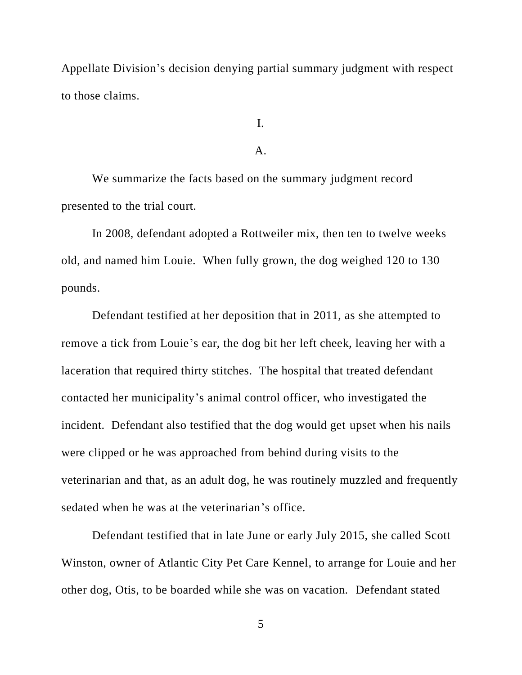Appellate Division's decision denying partial summary judgment with respect to those claims.

I.

# A.

We summarize the facts based on the summary judgment record presented to the trial court.

In 2008, defendant adopted a Rottweiler mix, then ten to twelve weeks old, and named him Louie. When fully grown, the dog weighed 120 to 130 pounds.

Defendant testified at her deposition that in 2011, as she attempted to remove a tick from Louie's ear, the dog bit her left cheek, leaving her with a laceration that required thirty stitches. The hospital that treated defendant contacted her municipality's animal control officer, who investigated the incident. Defendant also testified that the dog would get upset when his nails were clipped or he was approached from behind during visits to the veterinarian and that, as an adult dog, he was routinely muzzled and frequently sedated when he was at the veterinarian's office.

Defendant testified that in late June or early July 2015, she called Scott Winston, owner of Atlantic City Pet Care Kennel, to arrange for Louie and her other dog, Otis, to be boarded while she was on vacation. Defendant stated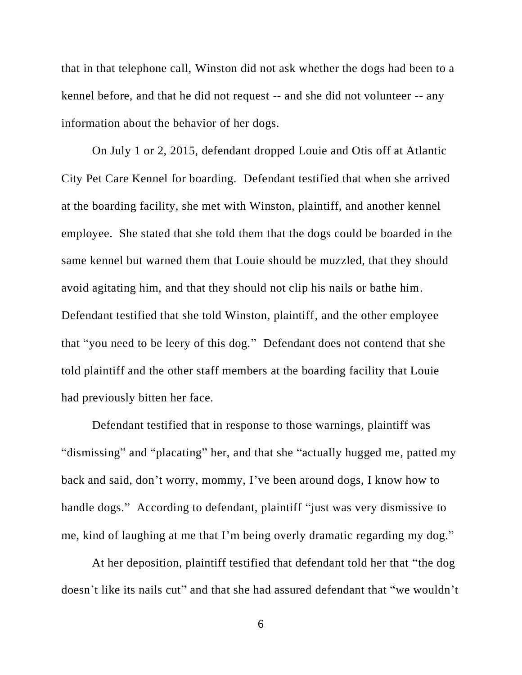that in that telephone call, Winston did not ask whether the dogs had been to a kennel before, and that he did not request -- and she did not volunteer -- any information about the behavior of her dogs.

On July 1 or 2, 2015, defendant dropped Louie and Otis off at Atlantic City Pet Care Kennel for boarding. Defendant testified that when she arrived at the boarding facility, she met with Winston, plaintiff, and another kennel employee. She stated that she told them that the dogs could be boarded in the same kennel but warned them that Louie should be muzzled, that they should avoid agitating him, and that they should not clip his nails or bathe him. Defendant testified that she told Winston, plaintiff, and the other employee that "you need to be leery of this dog." Defendant does not contend that she told plaintiff and the other staff members at the boarding facility that Louie had previously bitten her face.

Defendant testified that in response to those warnings, plaintiff was "dismissing" and "placating" her, and that she "actually hugged me, patted my back and said, don't worry, mommy, I've been around dogs, I know how to handle dogs." According to defendant, plaintiff "just was very dismissive to me, kind of laughing at me that I'm being overly dramatic regarding my dog."

At her deposition, plaintiff testified that defendant told her that "the dog doesn't like its nails cut" and that she had assured defendant that "we wouldn't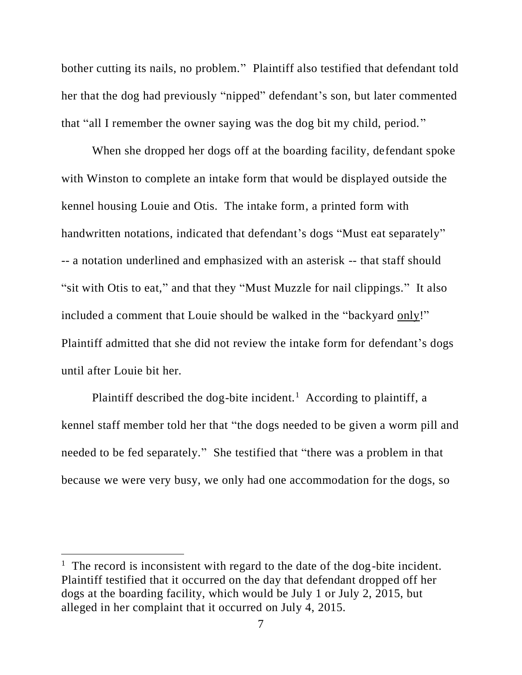bother cutting its nails, no problem." Plaintiff also testified that defendant told her that the dog had previously "nipped" defendant's son, but later commented that "all I remember the owner saying was the dog bit my child, period."

When she dropped her dogs off at the boarding facility, defendant spoke with Winston to complete an intake form that would be displayed outside the kennel housing Louie and Otis. The intake form, a printed form with handwritten notations, indicated that defendant's dogs "Must eat separately" -- a notation underlined and emphasized with an asterisk -- that staff should "sit with Otis to eat," and that they "Must Muzzle for nail clippings." It also included a comment that Louie should be walked in the "backyard only!" Plaintiff admitted that she did not review the intake form for defendant's dogs until after Louie bit her.

Plaintiff described the dog-bite incident.<sup>1</sup> According to plaintiff, a kennel staff member told her that "the dogs needed to be given a worm pill and needed to be fed separately." She testified that "there was a problem in that because we were very busy, we only had one accommodation for the dogs, so

<sup>&</sup>lt;sup>1</sup> The record is inconsistent with regard to the date of the dog-bite incident. Plaintiff testified that it occurred on the day that defendant dropped off her dogs at the boarding facility, which would be July 1 or July 2, 2015, but alleged in her complaint that it occurred on July 4, 2015.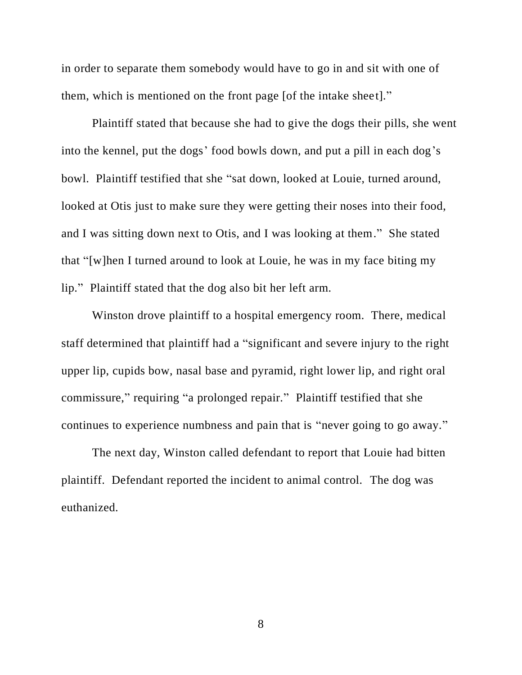in order to separate them somebody would have to go in and sit with one of them, which is mentioned on the front page [of the intake sheet]."

Plaintiff stated that because she had to give the dogs their pills, she went into the kennel, put the dogs' food bowls down, and put a pill in each dog's bowl. Plaintiff testified that she "sat down, looked at Louie, turned around, looked at Otis just to make sure they were getting their noses into their food, and I was sitting down next to Otis, and I was looking at them." She stated that "[w]hen I turned around to look at Louie, he was in my face biting my lip." Plaintiff stated that the dog also bit her left arm.

Winston drove plaintiff to a hospital emergency room. There, medical staff determined that plaintiff had a "significant and severe injury to the right upper lip, cupids bow, nasal base and pyramid, right lower lip, and right oral commissure," requiring "a prolonged repair." Plaintiff testified that she continues to experience numbness and pain that is "never going to go away."

The next day, Winston called defendant to report that Louie had bitten plaintiff. Defendant reported the incident to animal control. The dog was euthanized.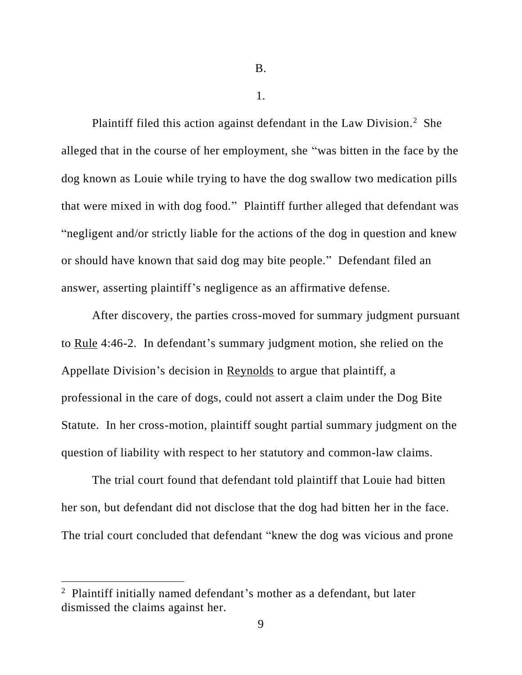1.

Plaintiff filed this action against defendant in the Law Division.<sup>2</sup> She alleged that in the course of her employment, she "was bitten in the face by the dog known as Louie while trying to have the dog swallow two medication pills that were mixed in with dog food." Plaintiff further alleged that defendant was "negligent and/or strictly liable for the actions of the dog in question and knew or should have known that said dog may bite people." Defendant filed an answer, asserting plaintiff's negligence as an affirmative defense.

After discovery, the parties cross-moved for summary judgment pursuant to Rule 4:46-2. In defendant's summary judgment motion, she relied on the Appellate Division's decision in Reynolds to argue that plaintiff, a professional in the care of dogs, could not assert a claim under the Dog Bite Statute. In her cross-motion, plaintiff sought partial summary judgment on the question of liability with respect to her statutory and common-law claims.

The trial court found that defendant told plaintiff that Louie had bitten her son, but defendant did not disclose that the dog had bitten her in the face. The trial court concluded that defendant "knew the dog was vicious and prone

<sup>&</sup>lt;sup>2</sup> Plaintiff initially named defendant's mother as a defendant, but later dismissed the claims against her.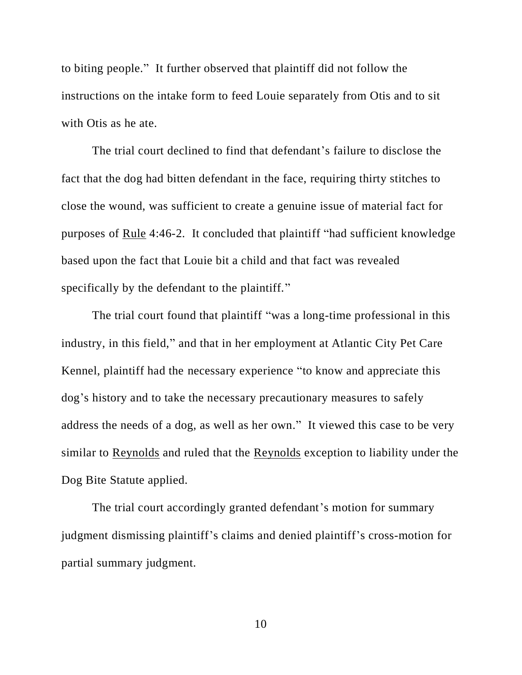to biting people." It further observed that plaintiff did not follow the instructions on the intake form to feed Louie separately from Otis and to sit with Otis as he ate.

The trial court declined to find that defendant's failure to disclose the fact that the dog had bitten defendant in the face, requiring thirty stitches to close the wound, was sufficient to create a genuine issue of material fact for purposes of Rule 4:46-2. It concluded that plaintiff "had sufficient knowledge based upon the fact that Louie bit a child and that fact was revealed specifically by the defendant to the plaintiff."

The trial court found that plaintiff "was a long-time professional in this industry, in this field," and that in her employment at Atlantic City Pet Care Kennel, plaintiff had the necessary experience "to know and appreciate this dog's history and to take the necessary precautionary measures to safely address the needs of a dog, as well as her own." It viewed this case to be very similar to Reynolds and ruled that the Reynolds exception to liability under the Dog Bite Statute applied.

The trial court accordingly granted defendant's motion for summary judgment dismissing plaintiff's claims and denied plaintiff's cross-motion for partial summary judgment.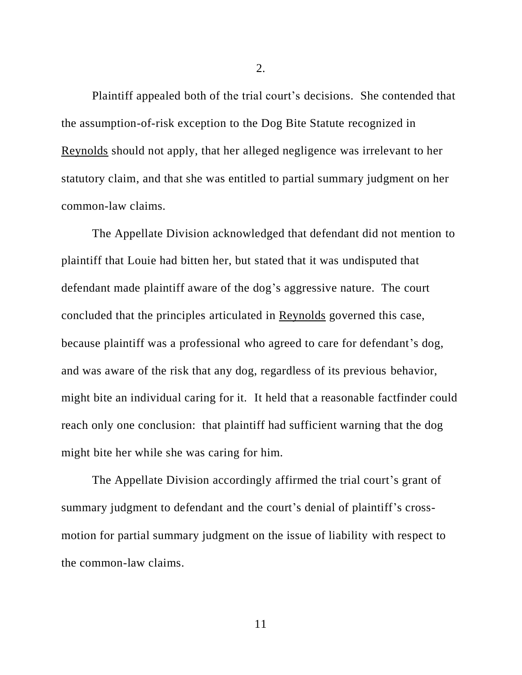Plaintiff appealed both of the trial court's decisions. She contended that the assumption-of-risk exception to the Dog Bite Statute recognized in Reynolds should not apply, that her alleged negligence was irrelevant to her statutory claim, and that she was entitled to partial summary judgment on her common-law claims.

The Appellate Division acknowledged that defendant did not mention to plaintiff that Louie had bitten her, but stated that it was undisputed that defendant made plaintiff aware of the dog's aggressive nature. The court concluded that the principles articulated in Reynolds governed this case, because plaintiff was a professional who agreed to care for defendant's dog, and was aware of the risk that any dog, regardless of its previous behavior, might bite an individual caring for it. It held that a reasonable factfinder could reach only one conclusion: that plaintiff had sufficient warning that the dog might bite her while she was caring for him.

The Appellate Division accordingly affirmed the trial court's grant of summary judgment to defendant and the court's denial of plaintiff's crossmotion for partial summary judgment on the issue of liability with respect to the common-law claims.

2.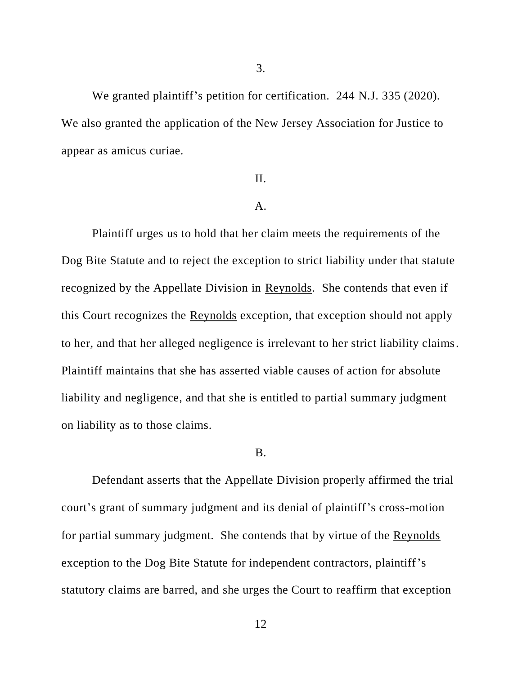We granted plaintiff's petition for certification. 244 N.J. 335 (2020). We also granted the application of the New Jersey Association for Justice to appear as amicus curiae.

# II.

#### A.

Plaintiff urges us to hold that her claim meets the requirements of the Dog Bite Statute and to reject the exception to strict liability under that statute recognized by the Appellate Division in Reynolds. She contends that even if this Court recognizes the Reynolds exception, that exception should not apply to her, and that her alleged negligence is irrelevant to her strict liability claims. Plaintiff maintains that she has asserted viable causes of action for absolute liability and negligence, and that she is entitled to partial summary judgment on liability as to those claims.

#### B.

Defendant asserts that the Appellate Division properly affirmed the trial court's grant of summary judgment and its denial of plaintiff's cross-motion for partial summary judgment. She contends that by virtue of the Reynolds exception to the Dog Bite Statute for independent contractors, plaintiff's statutory claims are barred, and she urges the Court to reaffirm that exception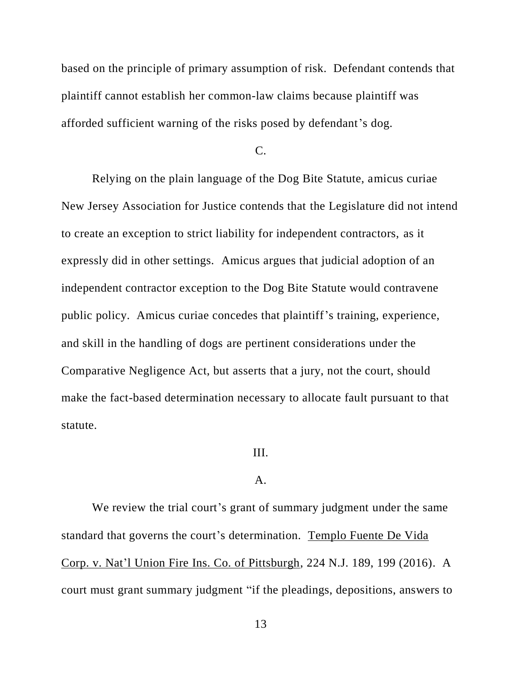based on the principle of primary assumption of risk. Defendant contends that plaintiff cannot establish her common-law claims because plaintiff was afforded sufficient warning of the risks posed by defendant's dog.

C.

Relying on the plain language of the Dog Bite Statute, amicus curiae New Jersey Association for Justice contends that the Legislature did not intend to create an exception to strict liability for independent contractors, as it expressly did in other settings. Amicus argues that judicial adoption of an independent contractor exception to the Dog Bite Statute would contravene public policy. Amicus curiae concedes that plaintiff's training, experience, and skill in the handling of dogs are pertinent considerations under the Comparative Negligence Act, but asserts that a jury, not the court, should make the fact-based determination necessary to allocate fault pursuant to that statute.

# III.

# A.

We review the trial court's grant of summary judgment under the same standard that governs the court's determination. Templo Fuente De Vida Corp. v. Nat'l Union Fire Ins. Co. of Pittsburgh, 224 N.J. 189, 199 (2016). A court must grant summary judgment "if the pleadings, depositions, answers to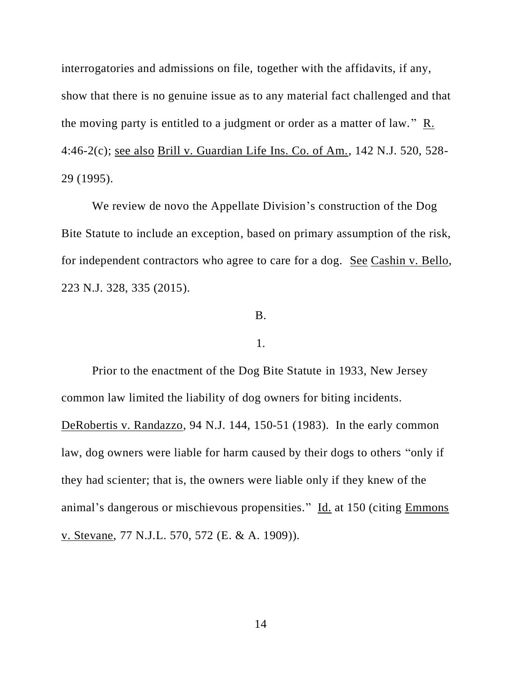interrogatories and admissions on file, together with the affidavits, if any, show that there is no genuine issue as to any material fact challenged and that the moving party is entitled to a judgment or order as a matter of law." R. 4:46-2(c); see also Brill v. Guardian Life Ins. Co. of Am., 142 N.J. 520, 528- 29 (1995).

We review de novo the Appellate Division's construction of the Dog Bite Statute to include an exception, based on primary assumption of the risk, for independent contractors who agree to care for a dog. See Cashin v. Bello, 223 N.J. 328, 335 (2015).

#### B.

#### 1.

Prior to the enactment of the Dog Bite Statute in 1933, New Jersey common law limited the liability of dog owners for biting incidents. DeRobertis v. Randazzo, 94 N.J. 144, 150-51 (1983). In the early common law, dog owners were liable for harm caused by their dogs to others "only if they had scienter; that is, the owners were liable only if they knew of the animal's dangerous or mischievous propensities." Id. at 150 (citing Emmons v. Stevane, 77 N.J.L. 570, 572 (E. & A. 1909)).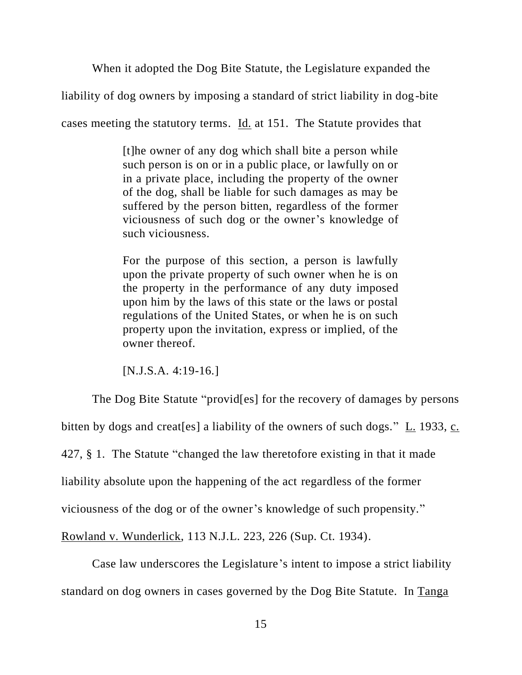When it adopted the Dog Bite Statute, the Legislature expanded the

liability of dog owners by imposing a standard of strict liability in dog-bite

cases meeting the statutory terms. Id. at 151. The Statute provides that

[t]he owner of any dog which shall bite a person while such person is on or in a public place, or lawfully on or in a private place, including the property of the owner of the dog, shall be liable for such damages as may be suffered by the person bitten, regardless of the former viciousness of such dog or the owner's knowledge of such viciousness.

For the purpose of this section, a person is lawfully upon the private property of such owner when he is on the property in the performance of any duty imposed upon him by the laws of this state or the laws or postal regulations of the United States, or when he is on such property upon the invitation, express or implied, of the owner thereof.

[N.J.S.A. 4:19-16.]

The Dog Bite Statute "provid[es] for the recovery of damages by persons bitten by dogs and creat[es] a liability of the owners of such dogs." L. 1933, c. 427, § 1. The Statute "changed the law theretofore existing in that it made liability absolute upon the happening of the act regardless of the former viciousness of the dog or of the owner's knowledge of such propensity." Rowland v. Wunderlick, 113 N.J.L. 223, 226 (Sup. Ct. 1934).

Case law underscores the Legislature's intent to impose a strict liability standard on dog owners in cases governed by the Dog Bite Statute. In Tanga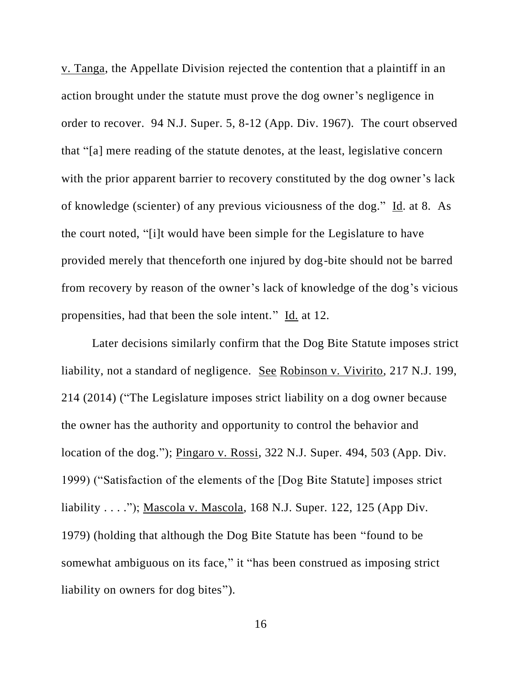v. Tanga, the Appellate Division rejected the contention that a plaintiff in an action brought under the statute must prove the dog owner's negligence in order to recover. 94 N.J. Super. 5, 8-12 (App. Div. 1967). The court observed that "[a] mere reading of the statute denotes, at the least, legislative concern with the prior apparent barrier to recovery constituted by the dog owner's lack of knowledge (scienter) of any previous viciousness of the dog." Id. at 8. As the court noted, "[i]t would have been simple for the Legislature to have provided merely that thenceforth one injured by dog-bite should not be barred from recovery by reason of the owner's lack of knowledge of the dog's vicious propensities, had that been the sole intent." Id. at 12.

Later decisions similarly confirm that the Dog Bite Statute imposes strict liability, not a standard of negligence. See Robinson v. Vivirito, 217 N.J. 199, 214 (2014) ("The Legislature imposes strict liability on a dog owner because the owner has the authority and opportunity to control the behavior and location of the dog."); Pingaro v. Rossi, 322 N.J. Super. 494, 503 (App. Div. 1999) ("Satisfaction of the elements of the [Dog Bite Statute] imposes strict liability . . . ."); Mascola v. Mascola, 168 N.J. Super. 122, 125 (App Div. 1979) (holding that although the Dog Bite Statute has been "found to be somewhat ambiguous on its face," it "has been construed as imposing strict liability on owners for dog bites").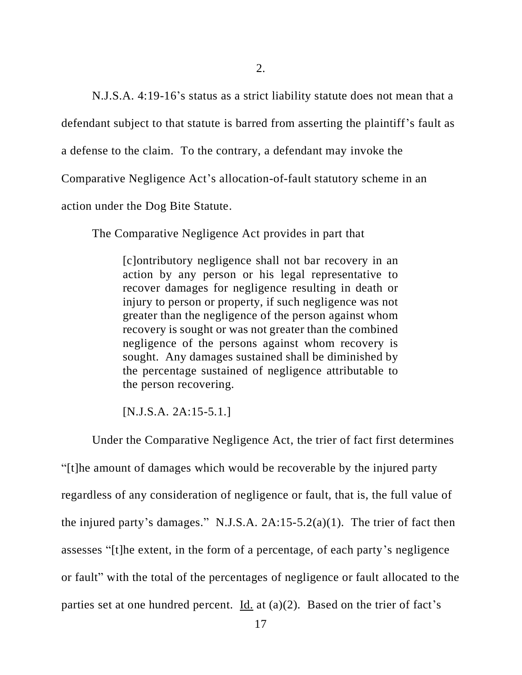N.J.S.A. 4:19-16's status as a strict liability statute does not mean that a

defendant subject to that statute is barred from asserting the plaintiff's fault as

a defense to the claim. To the contrary, a defendant may invoke the

Comparative Negligence Act's allocation-of-fault statutory scheme in an

action under the Dog Bite Statute.

The Comparative Negligence Act provides in part that

[c]ontributory negligence shall not bar recovery in an action by any person or his legal representative to recover damages for negligence resulting in death or injury to person or property, if such negligence was not greater than the negligence of the person against whom recovery is sought or was not greater than the combined negligence of the persons against whom recovery is sought. Any damages sustained shall be diminished by the percentage sustained of negligence attributable to the person recovering.

[N.J.S.A. 2A:15-5.1.]

Under the Comparative Negligence Act, the trier of fact first determines

"[t]he amount of damages which would be recoverable by the injured party regardless of any consideration of negligence or fault, that is, the full value of the injured party's damages." N.J.S.A. 2A:15-5.2(a)(1). The trier of fact then assesses "[t]he extent, in the form of a percentage, of each party's negligence or fault" with the total of the percentages of negligence or fault allocated to the parties set at one hundred percent.  $\underline{Id}$  at (a)(2). Based on the trier of fact's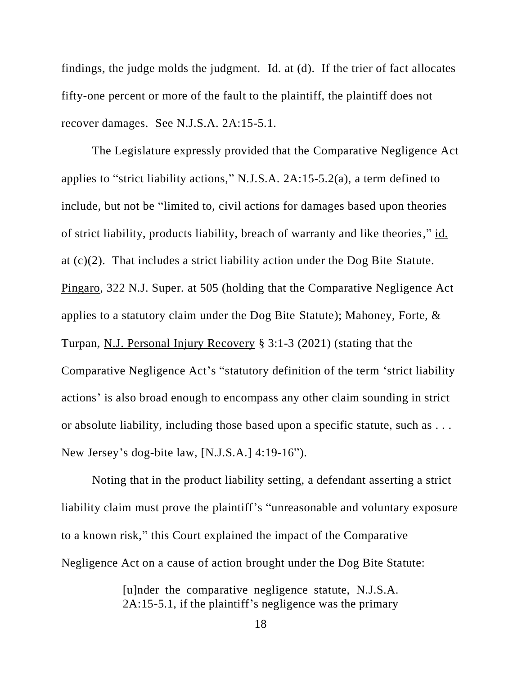findings, the judge molds the judgment. Id. at (d). If the trier of fact allocates fifty-one percent or more of the fault to the plaintiff, the plaintiff does not recover damages. See N.J.S.A. 2A:15-5.1.

The Legislature expressly provided that the Comparative Negligence Act applies to "strict liability actions," N.J.S.A. 2A:15-5.2(a), a term defined to include, but not be "limited to, civil actions for damages based upon theories of strict liability, products liability, breach of warranty and like theories," id. at (c)(2). That includes a strict liability action under the Dog Bite Statute. Pingaro, 322 N.J. Super. at 505 (holding that the Comparative Negligence Act applies to a statutory claim under the Dog Bite Statute); Mahoney, Forte, & Turpan, N.J. Personal Injury Recovery § 3:1-3 (2021) (stating that the Comparative Negligence Act's "statutory definition of the term 'strict liability actions' is also broad enough to encompass any other claim sounding in strict or absolute liability, including those based upon a specific statute, such as . . . New Jersey's dog-bite law, [N.J.S.A.] 4:19-16").

Noting that in the product liability setting, a defendant asserting a strict liability claim must prove the plaintiff's "unreasonable and voluntary exposure to a known risk," this Court explained the impact of the Comparative Negligence Act on a cause of action brought under the Dog Bite Statute:

> [u]nder the comparative negligence statute, N.J.S.A. 2A:15-5.1, if the plaintiff's negligence was the primary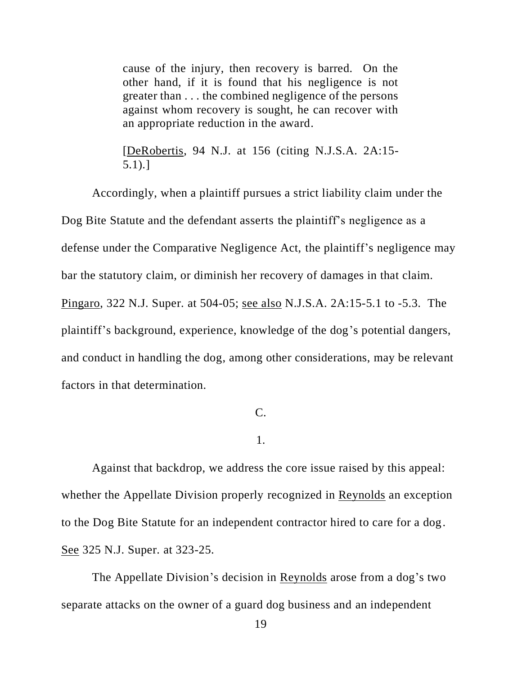cause of the injury, then recovery is barred. On the other hand, if it is found that his negligence is not greater than . . . the combined negligence of the persons against whom recovery is sought, he can recover with an appropriate reduction in the award.

[DeRobertis, 94 N.J. at 156 (citing N.J.S.A. 2A:15- 5.1).]

Accordingly, when a plaintiff pursues a strict liability claim under the Dog Bite Statute and the defendant asserts the plaintiff's negligence as a defense under the Comparative Negligence Act, the plaintiff's negligence may bar the statutory claim, or diminish her recovery of damages in that claim. Pingaro, 322 N.J. Super. at 504-05; see also N.J.S.A. 2A:15-5.1 to -5.3. The plaintiff's background, experience, knowledge of the dog's potential dangers, and conduct in handling the dog, among other considerations, may be relevant factors in that determination.

# C.

#### 1.

Against that backdrop, we address the core issue raised by this appeal: whether the Appellate Division properly recognized in Reynolds an exception to the Dog Bite Statute for an independent contractor hired to care for a dog. See 325 N.J. Super. at 323-25.

The Appellate Division's decision in Reynolds arose from a dog's two separate attacks on the owner of a guard dog business and an independent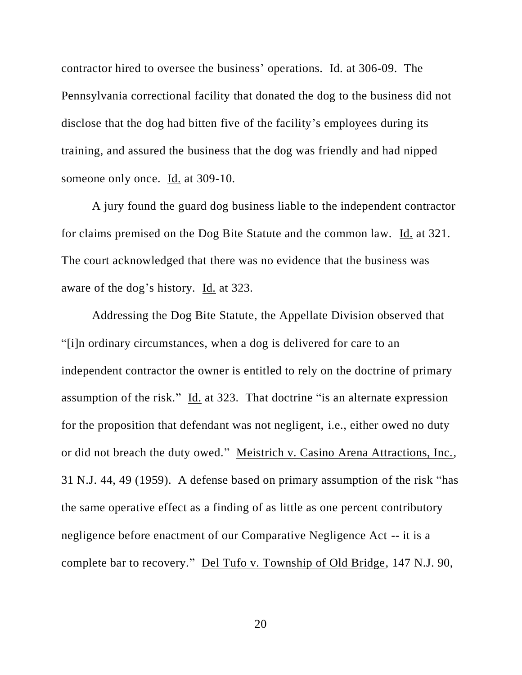contractor hired to oversee the business' operations. Id. at 306-09. The Pennsylvania correctional facility that donated the dog to the business did not disclose that the dog had bitten five of the facility's employees during its training, and assured the business that the dog was friendly and had nipped someone only once. Id. at 309-10.

A jury found the guard dog business liable to the independent contractor for claims premised on the Dog Bite Statute and the common law. Id. at 321. The court acknowledged that there was no evidence that the business was aware of the dog's history. Id. at 323.

Addressing the Dog Bite Statute, the Appellate Division observed that "[i]n ordinary circumstances, when a dog is delivered for care to an independent contractor the owner is entitled to rely on the doctrine of primary assumption of the risk." Id. at 323. That doctrine "is an alternate expression for the proposition that defendant was not negligent, i.e., either owed no duty or did not breach the duty owed." Meistrich v. Casino Arena Attractions, Inc., 31 N.J. 44, 49 (1959). A defense based on primary assumption of the risk "has the same operative effect as a finding of as little as one percent contributory negligence before enactment of our Comparative Negligence Act -- it is a complete bar to recovery." Del Tufo v. Township of Old Bridge, 147 N.J. 90,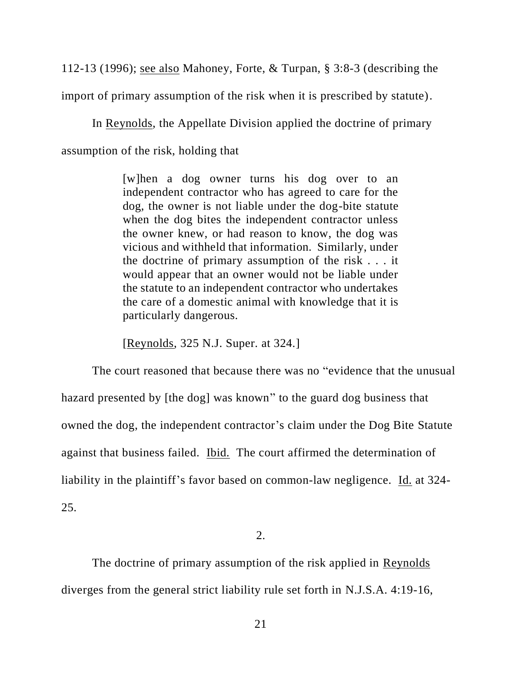112-13 (1996); see also Mahoney, Forte, & Turpan, § 3:8-3 (describing the import of primary assumption of the risk when it is prescribed by statute).

In Reynolds, the Appellate Division applied the doctrine of primary assumption of the risk, holding that

> [w]hen a dog owner turns his dog over to an independent contractor who has agreed to care for the dog, the owner is not liable under the dog-bite statute when the dog bites the independent contractor unless the owner knew, or had reason to know, the dog was vicious and withheld that information. Similarly, under the doctrine of primary assumption of the risk . . . it would appear that an owner would not be liable under the statute to an independent contractor who undertakes the care of a domestic animal with knowledge that it is particularly dangerous.

[Reynolds, 325 N.J. Super. at 324.]

The court reasoned that because there was no "evidence that the unusual hazard presented by [the dog] was known" to the guard dog business that owned the dog, the independent contractor's claim under the Dog Bite Statute against that business failed. Ibid. The court affirmed the determination of liability in the plaintiff's favor based on common-law negligence. Id. at 324- 25.

2.

The doctrine of primary assumption of the risk applied in Reynolds diverges from the general strict liability rule set forth in N.J.S.A. 4:19-16,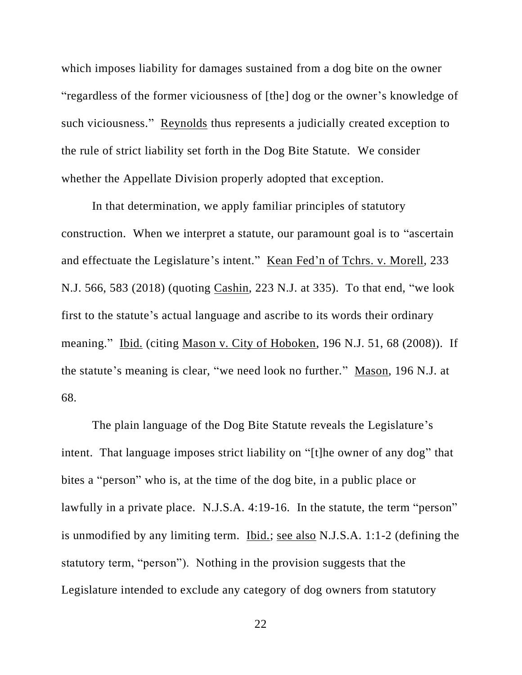which imposes liability for damages sustained from a dog bite on the owner "regardless of the former viciousness of [the] dog or the owner's knowledge of such viciousness." Reynolds thus represents a judicially created exception to the rule of strict liability set forth in the Dog Bite Statute. We consider whether the Appellate Division properly adopted that exception.

In that determination, we apply familiar principles of statutory construction. When we interpret a statute, our paramount goal is to "ascertain and effectuate the Legislature's intent." Kean Fed'n of Tchrs. v. Morell, 233 N.J. 566, 583 (2018) (quoting Cashin, 223 N.J. at 335). To that end, "we look first to the statute's actual language and ascribe to its words their ordinary meaning." Ibid. (citing Mason v. City of Hoboken, 196 N.J. 51, 68 (2008)). If the statute's meaning is clear, "we need look no further." Mason, 196 N.J. at 68.

The plain language of the Dog Bite Statute reveals the Legislature's intent. That language imposes strict liability on "[t]he owner of any dog" that bites a "person" who is, at the time of the dog bite, in a public place or lawfully in a private place. N.J.S.A. 4:19-16. In the statute, the term "person" is unmodified by any limiting term. Ibid.; see also N.J.S.A. 1:1-2 (defining the statutory term, "person"). Nothing in the provision suggests that the Legislature intended to exclude any category of dog owners from statutory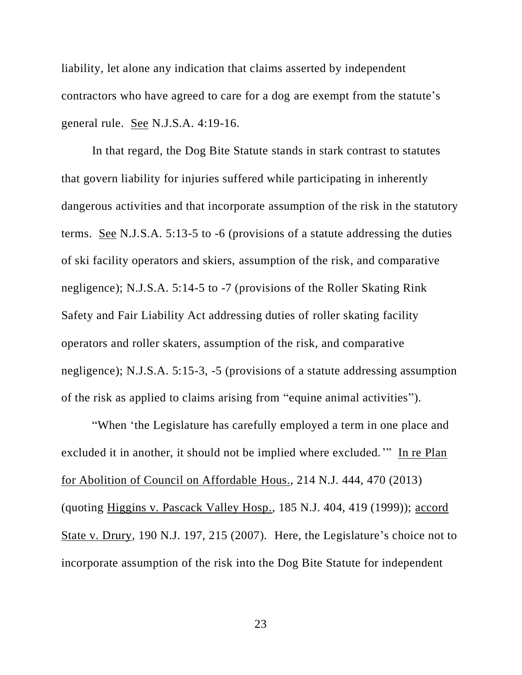liability, let alone any indication that claims asserted by independent contractors who have agreed to care for a dog are exempt from the statute's general rule. See N.J.S.A. 4:19-16.

In that regard, the Dog Bite Statute stands in stark contrast to statutes that govern liability for injuries suffered while participating in inherently dangerous activities and that incorporate assumption of the risk in the statutory terms. See N.J.S.A. 5:13-5 to -6 (provisions of a statute addressing the duties of ski facility operators and skiers, assumption of the risk, and comparative negligence); N.J.S.A. 5:14-5 to -7 (provisions of the Roller Skating Rink Safety and Fair Liability Act addressing duties of roller skating facility operators and roller skaters, assumption of the risk, and comparative negligence); N.J.S.A. 5:15-3, -5 (provisions of a statute addressing assumption of the risk as applied to claims arising from "equine animal activities").

"When 'the Legislature has carefully employed a term in one place and excluded it in another, it should not be implied where excluded.'" In re Plan for Abolition of Council on Affordable Hous., 214 N.J. 444, 470 (2013) (quoting Higgins v. Pascack Valley Hosp., 185 N.J. 404, 419 (1999)); accord State v. Drury, 190 N.J. 197, 215 (2007). Here, the Legislature's choice not to incorporate assumption of the risk into the Dog Bite Statute for independent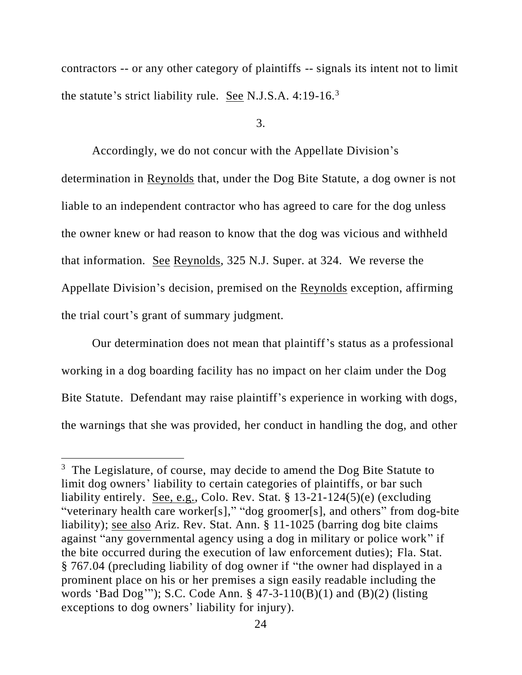contractors -- or any other category of plaintiffs -- signals its intent not to limit the statute's strict liability rule. See N.J.S.A. 4:19-16.<sup>3</sup>

3.

Accordingly, we do not concur with the Appellate Division's determination in Reynolds that, under the Dog Bite Statute, a dog owner is not liable to an independent contractor who has agreed to care for the dog unless the owner knew or had reason to know that the dog was vicious and withheld that information. See Reynolds, 325 N.J. Super. at 324. We reverse the Appellate Division's decision, premised on the Reynolds exception, affirming the trial court's grant of summary judgment.

Our determination does not mean that plaintiff's status as a professional working in a dog boarding facility has no impact on her claim under the Dog Bite Statute. Defendant may raise plaintiff's experience in working with dogs, the warnings that she was provided, her conduct in handling the dog, and other

 $3$  The Legislature, of course, may decide to amend the Dog Bite Statute to limit dog owners' liability to certain categories of plaintiffs, or bar such liability entirely. See, e.g., Colo. Rev. Stat. § 13-21-124(5)(e) (excluding "veterinary health care worker[s]," "dog groomer[s], and others" from dog-bite liability); see also Ariz. Rev. Stat. Ann. § 11-1025 (barring dog bite claims against "any governmental agency using a dog in military or police work" if the bite occurred during the execution of law enforcement duties); Fla. Stat. § 767.04 (precluding liability of dog owner if "the owner had displayed in a prominent place on his or her premises a sign easily readable including the words 'Bad Dog'"); S.C. Code Ann. § 47-3-110(B)(1) and (B)(2) (listing exceptions to dog owners' liability for injury).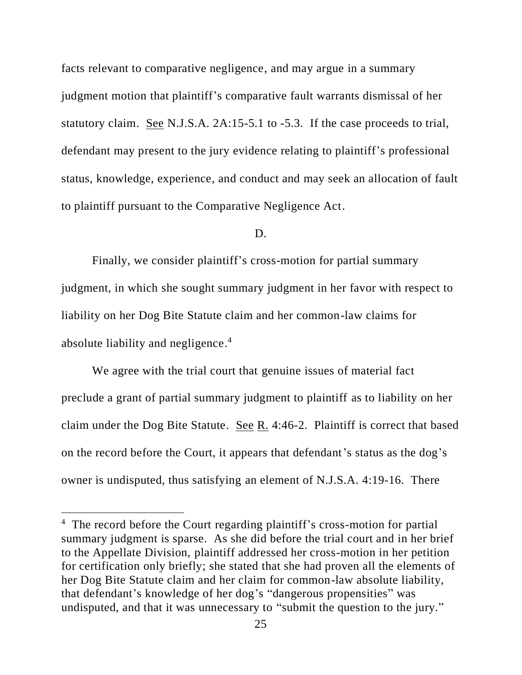facts relevant to comparative negligence, and may argue in a summary judgment motion that plaintiff's comparative fault warrants dismissal of her statutory claim. See N.J.S.A. 2A:15-5.1 to -5.3. If the case proceeds to trial, defendant may present to the jury evidence relating to plaintiff's professional status, knowledge, experience, and conduct and may seek an allocation of fault to plaintiff pursuant to the Comparative Negligence Act.

#### D.

Finally, we consider plaintiff's cross-motion for partial summary judgment, in which she sought summary judgment in her favor with respect to liability on her Dog Bite Statute claim and her common-law claims for absolute liability and negligence.<sup>4</sup>

We agree with the trial court that genuine issues of material fact preclude a grant of partial summary judgment to plaintiff as to liability on her claim under the Dog Bite Statute. See R. 4:46-2. Plaintiff is correct that based on the record before the Court, it appears that defendant's status as the dog's owner is undisputed, thus satisfying an element of N.J.S.A. 4:19-16. There

<sup>&</sup>lt;sup>4</sup> The record before the Court regarding plaintiff's cross-motion for partial summary judgment is sparse. As she did before the trial court and in her brief to the Appellate Division, plaintiff addressed her cross-motion in her petition for certification only briefly; she stated that she had proven all the elements of her Dog Bite Statute claim and her claim for common-law absolute liability, that defendant's knowledge of her dog's "dangerous propensities" was undisputed, and that it was unnecessary to "submit the question to the jury."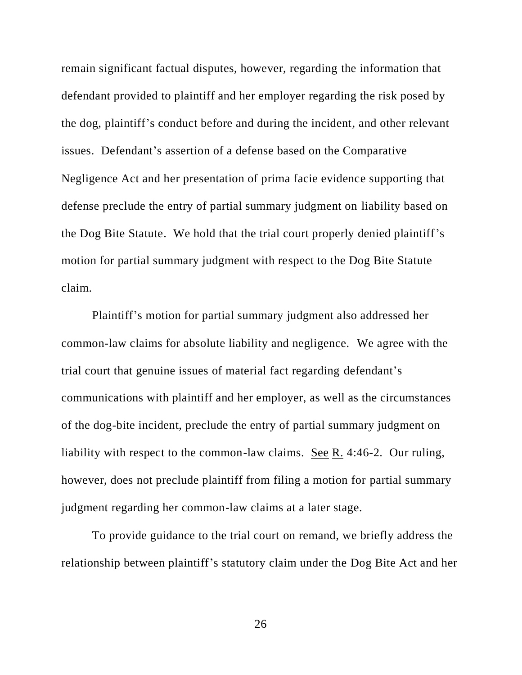remain significant factual disputes, however, regarding the information that defendant provided to plaintiff and her employer regarding the risk posed by the dog, plaintiff's conduct before and during the incident, and other relevant issues. Defendant's assertion of a defense based on the Comparative Negligence Act and her presentation of prima facie evidence supporting that defense preclude the entry of partial summary judgment on liability based on the Dog Bite Statute. We hold that the trial court properly denied plaintiff's motion for partial summary judgment with respect to the Dog Bite Statute claim.

Plaintiff's motion for partial summary judgment also addressed her common-law claims for absolute liability and negligence. We agree with the trial court that genuine issues of material fact regarding defendant's communications with plaintiff and her employer, as well as the circumstances of the dog-bite incident, preclude the entry of partial summary judgment on liability with respect to the common-law claims. <u>See R.</u> 4:46-2. Our ruling, however, does not preclude plaintiff from filing a motion for partial summary judgment regarding her common-law claims at a later stage.

To provide guidance to the trial court on remand, we briefly address the relationship between plaintiff's statutory claim under the Dog Bite Act and her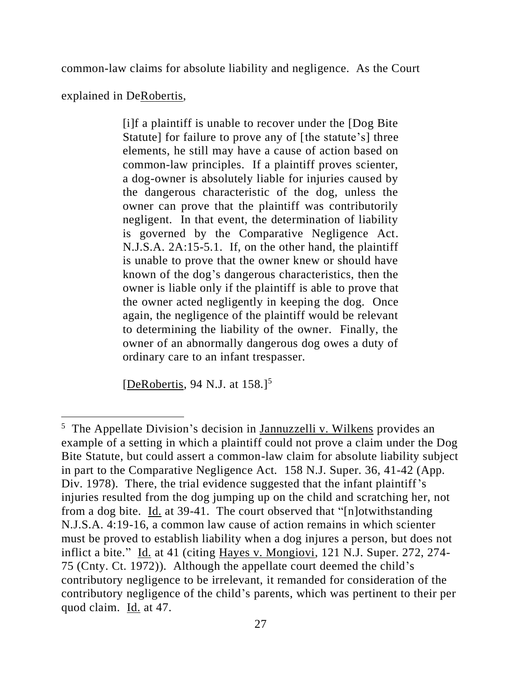common-law claims for absolute liability and negligence. As the Court

explained in DeRobertis,

[i]f a plaintiff is unable to recover under the [Dog Bite Statute] for failure to prove any of [the statute's] three elements, he still may have a cause of action based on common-law principles. If a plaintiff proves scienter, a dog-owner is absolutely liable for injuries caused by the dangerous characteristic of the dog, unless the owner can prove that the plaintiff was contributorily negligent. In that event, the determination of liability is governed by the Comparative Negligence Act. N.J.S.A. 2A:15-5.1. If, on the other hand, the plaintiff is unable to prove that the owner knew or should have known of the dog's dangerous characteristics, then the owner is liable only if the plaintiff is able to prove that the owner acted negligently in keeping the dog. Once again, the negligence of the plaintiff would be relevant to determining the liability of the owner. Finally, the owner of an abnormally dangerous dog owes a duty of ordinary care to an infant trespasser.

[DeRobertis, 94 N.J. at  $158$ .]<sup>5</sup>

<sup>5</sup> The Appellate Division's decision in Jannuzzelli v. Wilkens provides an example of a setting in which a plaintiff could not prove a claim under the Dog Bite Statute, but could assert a common-law claim for absolute liability subject in part to the Comparative Negligence Act. 158 N.J. Super. 36, 41-42 (App. Div. 1978). There, the trial evidence suggested that the infant plaintiff's injuries resulted from the dog jumping up on the child and scratching her, not from a dog bite. Id. at 39-41. The court observed that "[n]otwithstanding N.J.S.A. 4:19-16, a common law cause of action remains in which scienter must be proved to establish liability when a dog injures a person, but does not inflict a bite." Id. at 41 (citing Hayes v. Mongiovi, 121 N.J. Super. 272, 274- 75 (Cnty. Ct. 1972)). Although the appellate court deemed the child's contributory negligence to be irrelevant, it remanded for consideration of the contributory negligence of the child's parents, which was pertinent to their per quod claim. Id. at 47.